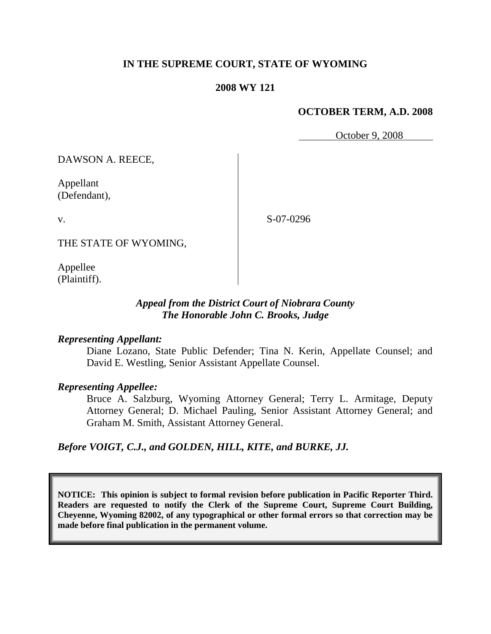## **IN THE SUPREME COURT, STATE OF WYOMING**

## **2008 WY 121**

## **OCTOBER TERM, A.D. 2008**

October 9, 2008

DAWSON A. REECE,

Appellant (Defendant),

S-07-0296

THE STATE OF WYOMING,

Appellee (Plaintiff).

v.

## *Appeal from the District Court of Niobrara County The Honorable John C. Brooks, Judge*

#### *Representing Appellant:*

Diane Lozano, State Public Defender; Tina N. Kerin, Appellate Counsel; and David E. Westling, Senior Assistant Appellate Counsel.

#### *Representing Appellee:*

Bruce A. Salzburg, Wyoming Attorney General; Terry L. Armitage, Deputy Attorney General; D. Michael Pauling, Senior Assistant Attorney General; and Graham M. Smith, Assistant Attorney General.

*Before VOIGT, C.J., and GOLDEN, HILL, KITE, and BURKE, JJ.*

**NOTICE: This opinion is subject to formal revision before publication in Pacific Reporter Third. Readers are requested to notify the Clerk of the Supreme Court, Supreme Court Building, Cheyenne, Wyoming 82002, of any typographical or other formal errors so that correction may be made before final publication in the permanent volume.**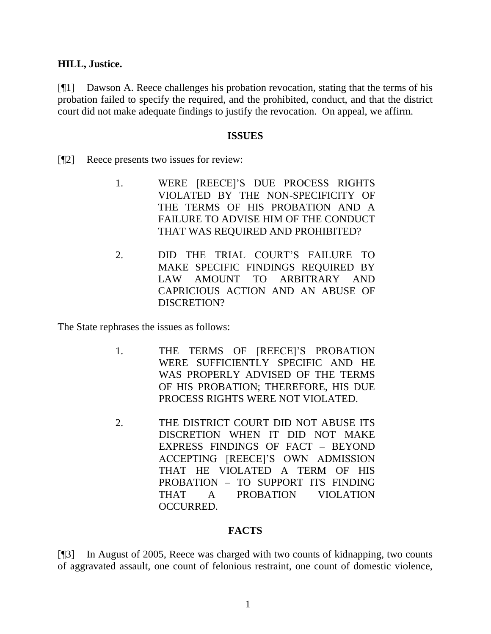## **HILL, Justice.**

[¶1] Dawson A. Reece challenges his probation revocation, stating that the terms of his probation failed to specify the required, and the prohibited, conduct, and that the district court did not make adequate findings to justify the revocation. On appeal, we affirm.

#### **ISSUES**

- [¶2] Reece presents two issues for review:
	- 1. WERE [REECE]"S DUE PROCESS RIGHTS VIOLATED BY THE NON-SPECIFICITY OF THE TERMS OF HIS PROBATION AND A FAILURE TO ADVISE HIM OF THE CONDUCT THAT WAS REQUIRED AND PROHIBITED?
	- 2. DID THE TRIAL COURT"S FAILURE TO MAKE SPECIFIC FINDINGS REQUIRED BY LAW AMOUNT TO ARBITRARY AND CAPRICIOUS ACTION AND AN ABUSE OF DISCRETION?

The State rephrases the issues as follows:

- 1. THE TERMS OF [REECE]"S PROBATION WERE SUFFICIENTLY SPECIFIC AND HE WAS PROPERLY ADVISED OF THE TERMS OF HIS PROBATION; THEREFORE, HIS DUE PROCESS RIGHTS WERE NOT VIOLATED.
- 2. THE DISTRICT COURT DID NOT ABUSE ITS DISCRETION WHEN IT DID NOT MAKE EXPRESS FINDINGS OF FACT – BEYOND ACCEPTING [REECE]"S OWN ADMISSION THAT HE VIOLATED A TERM OF HIS PROBATION – TO SUPPORT ITS FINDING THAT A PROBATION VIOLATION OCCURRED.

## **FACTS**

[¶3] In August of 2005, Reece was charged with two counts of kidnapping, two counts of aggravated assault, one count of felonious restraint, one count of domestic violence,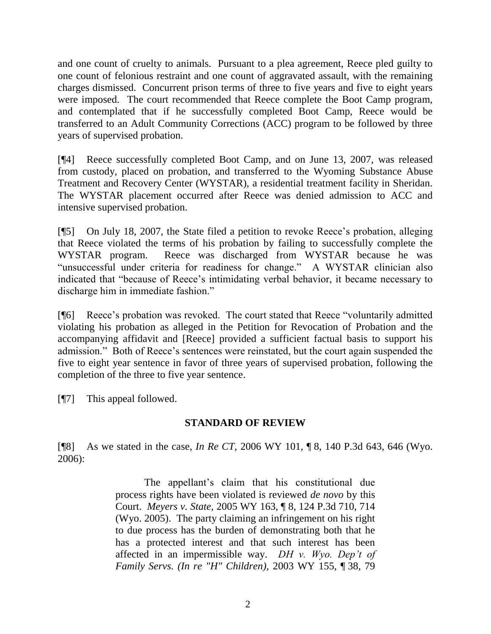and one count of cruelty to animals. Pursuant to a plea agreement, Reece pled guilty to one count of felonious restraint and one count of aggravated assault, with the remaining charges dismissed. Concurrent prison terms of three to five years and five to eight years were imposed. The court recommended that Reece complete the Boot Camp program, and contemplated that if he successfully completed Boot Camp, Reece would be transferred to an Adult Community Corrections (ACC) program to be followed by three years of supervised probation.

[¶4] Reece successfully completed Boot Camp, and on June 13, 2007, was released from custody, placed on probation, and transferred to the Wyoming Substance Abuse Treatment and Recovery Center (WYSTAR), a residential treatment facility in Sheridan. The WYSTAR placement occurred after Reece was denied admission to ACC and intensive supervised probation.

[¶5] On July 18, 2007, the State filed a petition to revoke Reece"s probation, alleging that Reece violated the terms of his probation by failing to successfully complete the WYSTAR program. Reece was discharged from WYSTAR because he was "unsuccessful under criteria for readiness for change." A WYSTAR clinician also indicated that "because of Reece"s intimidating verbal behavior, it became necessary to discharge him in immediate fashion."

[¶6] Reece"s probation was revoked. The court stated that Reece "voluntarily admitted violating his probation as alleged in the Petition for Revocation of Probation and the accompanying affidavit and [Reece] provided a sufficient factual basis to support his admission." Both of Reece's sentences were reinstated, but the court again suspended the five to eight year sentence in favor of three years of supervised probation, following the completion of the three to five year sentence.

[¶7] This appeal followed.

# **STANDARD OF REVIEW**

[¶8] As we stated in the case, *In Re CT,* 2006 WY 101, ¶ 8, 140 P.3d 643, 646 (Wyo. 2006):

> The appellant's claim that his constitutional due process rights have been violated is reviewed *de novo* by this Court. *Meyers v. State,* 2005 WY 163, ¶ 8, 124 P.3d 710, 714 (Wyo. 2005). The party claiming an infringement on his right to due process has the burden of demonstrating both that he has a protected interest and that such interest has been affected in an impermissible way. *DH v. Wyo. Dep't of Family Servs. (In re "H" Children),* 2003 WY 155, ¶ 38, 79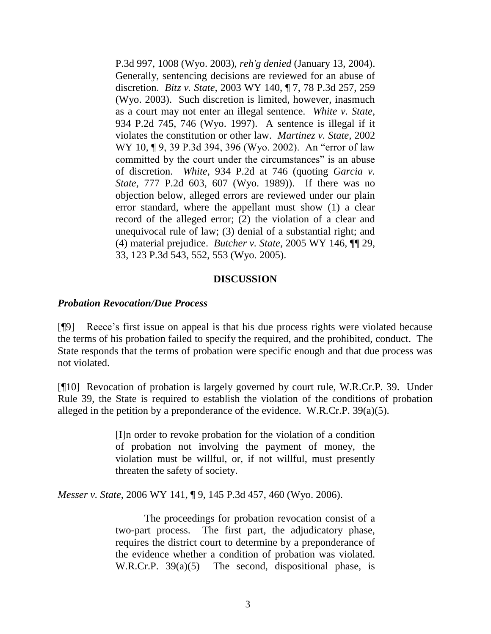P.3d 997, 1008 (Wyo. 2003), *reh'g denied* (January 13, 2004). Generally, sentencing decisions are reviewed for an abuse of discretion. *Bitz v. State,* 2003 WY 140, ¶ 7, 78 P.3d 257, 259 (Wyo. 2003). Such discretion is limited, however, inasmuch as a court may not enter an illegal sentence. *White v. State,* 934 P.2d 745, 746 (Wyo. 1997). A sentence is illegal if it violates the constitution or other law. *Martinez v. State,* 2002 WY 10, ¶ 9, 39 P.3d 394, 396 (Wyo. 2002). An "error of law committed by the court under the circumstances" is an abuse of discretion. *White*, 934 P.2d at 746 (quoting *Garcia v. State,* 777 P.2d 603, 607 (Wyo. 1989)). If there was no objection below, alleged errors are reviewed under our plain error standard, where the appellant must show (1) a clear record of the alleged error; (2) the violation of a clear and unequivocal rule of law; (3) denial of a substantial right; and (4) material prejudice. *Butcher v. State,* 2005 WY 146, ¶¶ 29, 33, 123 P.3d 543, 552, 553 (Wyo. 2005).

## **DISCUSSION**

#### *Probation Revocation/Due Process*

[¶9] Reece"s first issue on appeal is that his due process rights were violated because the terms of his probation failed to specify the required, and the prohibited, conduct. The State responds that the terms of probation were specific enough and that due process was not violated.

[¶10] Revocation of probation is largely governed by court rule, W.R.Cr.P. 39. Under Rule 39, the State is required to establish the violation of the conditions of probation alleged in the petition by a preponderance of the evidence. W.R.Cr.P. 39(a)(5).

> [I]n order to revoke probation for the violation of a condition of probation not involving the payment of money, the violation must be willful, or, if not willful, must presently threaten the safety of society.

*Messer v. State*, 2006 WY 141, ¶ 9, 145 P.3d 457, 460 (Wyo. 2006).

The proceedings for probation revocation consist of a two-part process. The first part, the adjudicatory phase, requires the district court to determine by a preponderance of the evidence whether a condition of probation was violated. W.R.Cr.P. 39(a)(5) The second, dispositional phase, is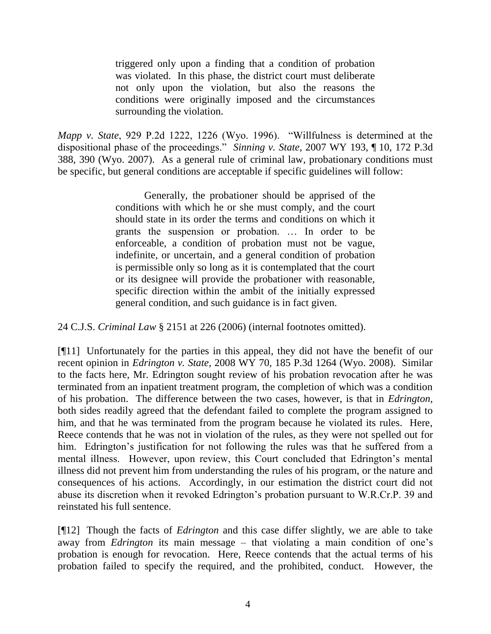triggered only upon a finding that a condition of probation was violated. In this phase, the district court must deliberate not only upon the violation, but also the reasons the conditions were originally imposed and the circumstances surrounding the violation.

*Mapp v. State*, 929 P.2d 1222, 1226 (Wyo. 1996). "Willfulness is determined at the dispositional phase of the proceedings." *Sinning v. State*, 2007 WY 193, ¶ 10, 172 P.3d 388, 390 (Wyo. 2007). As a general rule of criminal law, probationary conditions must be specific, but general conditions are acceptable if specific guidelines will follow:

> Generally, the probationer should be apprised of the conditions with which he or she must comply, and the court should state in its order the terms and conditions on which it grants the suspension or probation. … In order to be enforceable, a condition of probation must not be vague, indefinite, or uncertain, and a general condition of probation is permissible only so long as it is contemplated that the court or its designee will provide the probationer with reasonable, specific direction within the ambit of the initially expressed general condition, and such guidance is in fact given.

24 C.J.S. *Criminal Law* § 2151 at 226 (2006) (internal footnotes omitted).

[¶11] Unfortunately for the parties in this appeal, they did not have the benefit of our recent opinion in *Edrington v. State,* 2008 WY 70, 185 P.3d 1264 (Wyo. 2008). Similar to the facts here, Mr. Edrington sought review of his probation revocation after he was terminated from an inpatient treatment program, the completion of which was a condition of his probation. The difference between the two cases, however, is that in *Edrington,*  both sides readily agreed that the defendant failed to complete the program assigned to him, and that he was terminated from the program because he violated its rules. Here, Reece contends that he was not in violation of the rules, as they were not spelled out for him. Edrington's justification for not following the rules was that he suffered from a mental illness. However, upon review, this Court concluded that Edrington"s mental illness did not prevent him from understanding the rules of his program, or the nature and consequences of his actions. Accordingly, in our estimation the district court did not abuse its discretion when it revoked Edrington"s probation pursuant to W.R.Cr.P. 39 and reinstated his full sentence.

[¶12] Though the facts of *Edrington* and this case differ slightly, we are able to take away from *Edrington* its main message – that violating a main condition of one"s probation is enough for revocation. Here, Reece contends that the actual terms of his probation failed to specify the required, and the prohibited, conduct. However, the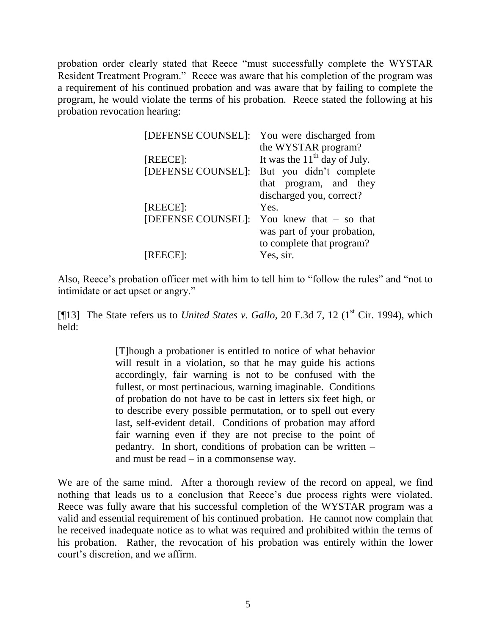probation order clearly stated that Reece "must successfully complete the WYSTAR Resident Treatment Program." Reece was aware that his completion of the program was a requirement of his continued probation and was aware that by failing to complete the program, he would violate the terms of his probation. Reece stated the following at his probation revocation hearing:

| [DEFENSE COUNSEL]: | You were discharged from       |  |  |  |
|--------------------|--------------------------------|--|--|--|
|                    | the WYSTAR program?            |  |  |  |
| [REECE]:           | It was the $11th$ day of July. |  |  |  |
| [DEFENSE COUNSEL]: | But you didn't complete        |  |  |  |
|                    | that program, and they         |  |  |  |
|                    | discharged you, correct?       |  |  |  |
| [REECE]:           | Yes.                           |  |  |  |
| [DEFENSE COUNSEL]: | You knew that $-$ so that      |  |  |  |
|                    | was part of your probation,    |  |  |  |
|                    | to complete that program?      |  |  |  |
| [REECE]:           | Yes, sir.                      |  |  |  |
|                    |                                |  |  |  |

Also, Reece's probation officer met with him to tell him to "follow the rules" and "not to intimidate or act upset or angry."

[¶13] The State refers us to *United States v. Gallo*, 20 F.3d 7, 12 (1<sup>st</sup> Cir. 1994), which held:

> [T]hough a probationer is entitled to notice of what behavior will result in a violation, so that he may guide his actions accordingly, fair warning is not to be confused with the fullest, or most pertinacious, warning imaginable. Conditions of probation do not have to be cast in letters six feet high, or to describe every possible permutation, or to spell out every last, self-evident detail. Conditions of probation may afford fair warning even if they are not precise to the point of pedantry. In short, conditions of probation can be written – and must be read – in a commonsense way.

We are of the same mind. After a thorough review of the record on appeal, we find nothing that leads us to a conclusion that Reece"s due process rights were violated. Reece was fully aware that his successful completion of the WYSTAR program was a valid and essential requirement of his continued probation. He cannot now complain that he received inadequate notice as to what was required and prohibited within the terms of his probation. Rather, the revocation of his probation was entirely within the lower court"s discretion, and we affirm.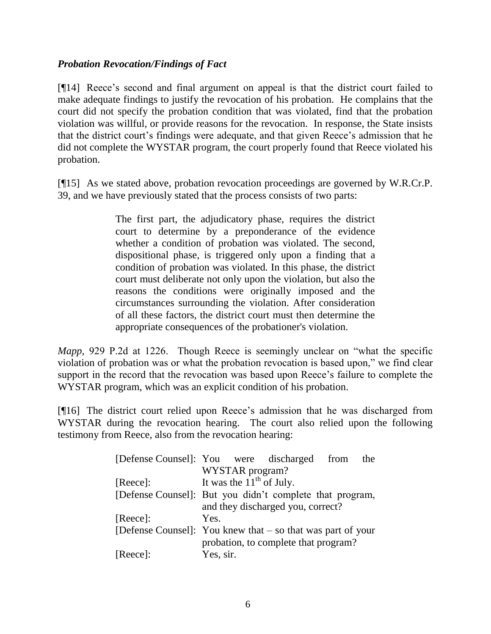## *Probation Revocation/Findings of Fact*

[¶14] Reece"s second and final argument on appeal is that the district court failed to make adequate findings to justify the revocation of his probation. He complains that the court did not specify the probation condition that was violated, find that the probation violation was willful, or provide reasons for the revocation. In response, the State insists that the district court's findings were adequate, and that given Reece's admission that he did not complete the WYSTAR program, the court properly found that Reece violated his probation.

[¶15] As we stated above, probation revocation proceedings are governed by W.R.Cr.P. 39, and we have previously stated that the process consists of two parts:

> The first part, the adjudicatory phase, requires the district court to determine by a preponderance of the evidence whether a condition of probation was violated. The second, dispositional phase, is triggered only upon a finding that a condition of probation was violated. In this phase, the district court must deliberate not only upon the violation, but also the reasons the conditions were originally imposed and the circumstances surrounding the violation. After consideration of all these factors, the district court must then determine the appropriate consequences of the probationer's violation.

*Mapp*, 929 P.2d at 1226. Though Reece is seemingly unclear on "what the specific violation of probation was or what the probation revocation is based upon," we find clear support in the record that the revocation was based upon Reece"s failure to complete the WYSTAR program, which was an explicit condition of his probation.

[¶16] The district court relied upon Reece"s admission that he was discharged from WYSTAR during the revocation hearing. The court also relied upon the following testimony from Reece, also from the revocation hearing:

| [Defense Counsel]: You were discharged from                   |                                                          |  |                                      |  | the |  |
|---------------------------------------------------------------|----------------------------------------------------------|--|--------------------------------------|--|-----|--|
|                                                               | WYSTAR program?                                          |  |                                      |  |     |  |
| [Reece]:                                                      | It was the $11^{th}$ of July.                            |  |                                      |  |     |  |
|                                                               | [Defense Counsel]: But you didn't complete that program, |  |                                      |  |     |  |
|                                                               | and they discharged you, correct?                        |  |                                      |  |     |  |
| [Reece]:                                                      | Yes.                                                     |  |                                      |  |     |  |
| [Defense Counsel]: You knew that $-$ so that was part of your |                                                          |  |                                      |  |     |  |
|                                                               |                                                          |  | probation, to complete that program? |  |     |  |
| [Reece]:                                                      | Yes, sir.                                                |  |                                      |  |     |  |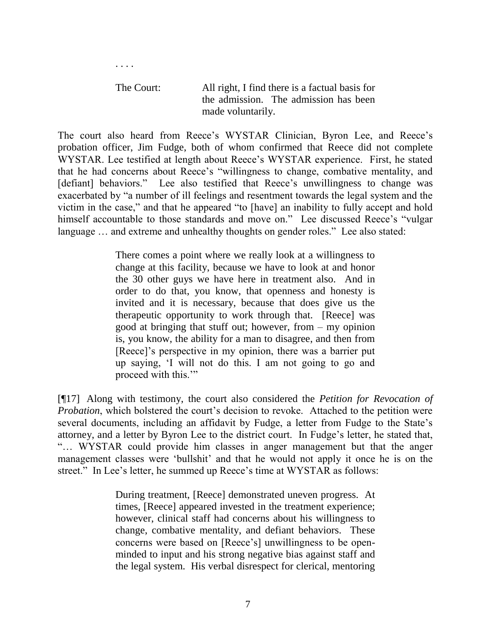The Court: All right, I find there is a factual basis for the admission. The admission has been made voluntarily.

. . . .

The court also heard from Reece's WYSTAR Clinician, Byron Lee, and Reece's probation officer, Jim Fudge, both of whom confirmed that Reece did not complete WYSTAR. Lee testified at length about Reece's WYSTAR experience. First, he stated that he had concerns about Reece"s "willingness to change, combative mentality, and [defiant] behaviors." Lee also testified that Reece's unwillingness to change was exacerbated by "a number of ill feelings and resentment towards the legal system and the victim in the case," and that he appeared "to [have] an inability to fully accept and hold himself accountable to those standards and move on." Lee discussed Reece's "vulgar language ... and extreme and unhealthy thoughts on gender roles." Lee also stated:

> There comes a point where we really look at a willingness to change at this facility, because we have to look at and honor the 30 other guys we have here in treatment also. And in order to do that, you know, that openness and honesty is invited and it is necessary, because that does give us the therapeutic opportunity to work through that. [Reece] was good at bringing that stuff out; however, from – my opinion is, you know, the ability for a man to disagree, and then from [Reece]'s perspective in my opinion, there was a barrier put up saying, "I will not do this. I am not going to go and proceed with this.""

[¶17] Along with testimony, the court also considered the *Petition for Revocation of Probation*, which bolstered the court's decision to revoke. Attached to the petition were several documents, including an affidavit by Fudge, a letter from Fudge to the State's attorney, and a letter by Byron Lee to the district court. In Fudge"s letter, he stated that, "… WYSTAR could provide him classes in anger management but that the anger management classes were 'bullshit' and that he would not apply it once he is on the street." In Lee's letter, he summed up Reece's time at WYSTAR as follows:

> During treatment, [Reece] demonstrated uneven progress. At times, [Reece] appeared invested in the treatment experience; however, clinical staff had concerns about his willingness to change, combative mentality, and defiant behaviors. These concerns were based on [Reece"s] unwillingness to be openminded to input and his strong negative bias against staff and the legal system. His verbal disrespect for clerical, mentoring